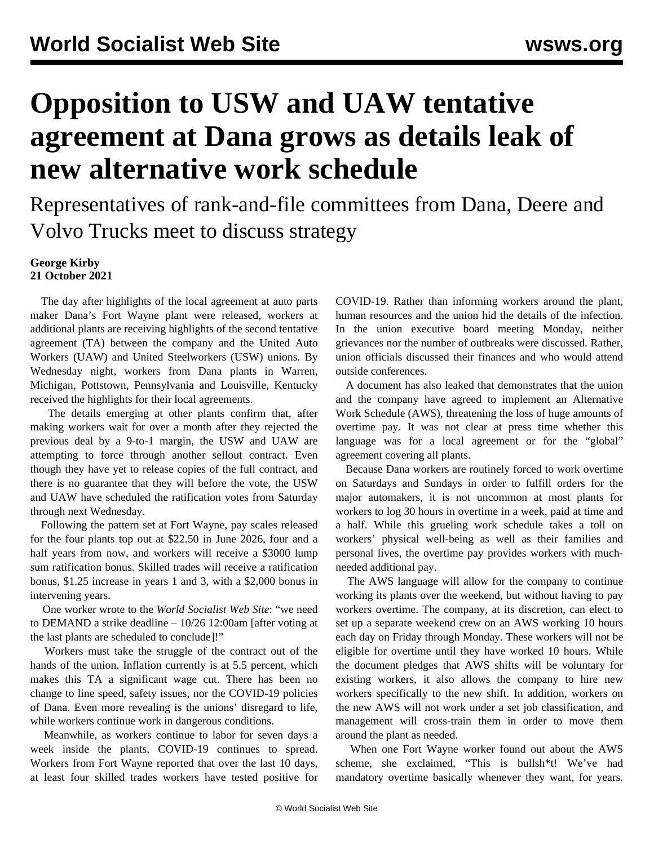## **Opposition to USW and UAW tentative agreement at Dana grows as details leak of new alternative work schedule**

Representatives of rank-and-file committees from Dana, Deere and Volvo Trucks meet to discuss strategy

## **George Kirby 21 October 2021**

 The day after highlights of the local agreement at auto parts maker Dana's Fort Wayne plant were released, workers at additional plants are receiving highlights of the second tentative agreement (TA) between the company and the United Auto Workers (UAW) and United Steelworkers (USW) unions. By Wednesday night, workers from Dana plants in Warren, Michigan, Pottstown, Pennsylvania and Louisville, Kentucky received the highlights for their local agreements.

 The details emerging at other plants confirm that, after making workers wait for over a month after they rejected the previous deal by a 9-to-1 margin, the USW and UAW are attempting to force through another sellout contract. Even though they have yet to release copies of the full contract, and there is no guarantee that they will before the vote, the USW and UAW have scheduled the ratification votes from Saturday through next Wednesday.

 Following the pattern set at [Fort Wayne](/en/articles/2021/10/20/dana-o20.html), pay scales released for the four plants top out at \$22.50 in June 2026, four and a half years from now, and workers will receive a \$3000 lump sum ratification bonus. Skilled trades will receive a ratification bonus, \$1.25 increase in years 1 and 3, with a \$2,000 bonus in intervening years.

 One worker wrote to the *World Socialist Web Site*: "we need to DEMAND a strike deadline – 10/26 12:00am [after voting at the last plants are scheduled to conclude]!"

 Workers must take the struggle of the contract out of the hands of the union. Inflation currently is at 5.5 percent, which makes this TA a significant wage cut. There has been no change to line speed, safety issues, nor the COVID-19 policies of Dana. Even more revealing is the unions' disregard to life, while workers continue work in dangerous conditions.

 Meanwhile, as workers continue to labor for seven days a week inside the plants, COVID-19 continues to spread. Workers from Fort Wayne reported that over the last 10 days, at least four skilled trades workers have tested positive for

COVID-19. Rather than informing workers around the plant, human resources and the union hid the details of the infection. In the union executive board meeting Monday, neither grievances nor the number of outbreaks were discussed. Rather, union officials discussed their finances and who would attend outside conferences.

 A document has also leaked that demonstrates that the union and the company have agreed to implement an Alternative Work Schedule (AWS), threatening the loss of huge amounts of overtime pay. It was not clear at press time whether this language was for a local agreement or for the "global" agreement covering all plants.

 Because Dana workers are routinely forced to work overtime on Saturdays and Sundays in order to fulfill orders for the major automakers, it is not uncommon at most plants for workers to log 30 hours in overtime in a week, paid at time and a half. While this grueling work schedule takes a toll on workers' physical well-being as well as their families and personal lives, the overtime pay provides workers with muchneeded additional pay.

 The AWS language will allow for the company to continue working its plants over the weekend, but without having to pay workers overtime. The company, at its discretion, can elect to set up a separate weekend crew on an AWS working 10 hours each day on Friday through Monday. These workers will not be eligible for overtime until they have worked 10 hours. While the document pledges that AWS shifts will be voluntary for existing workers, it also allows the company to hire new workers specifically to the new shift. In addition, workers on the new AWS will not work under a set job classification, and management will cross-train them in order to move them around the plant as needed.

 When one Fort Wayne worker found out about the AWS scheme, she exclaimed, "This is bullsh\*t! We've had mandatory overtime basically whenever they want, for years.